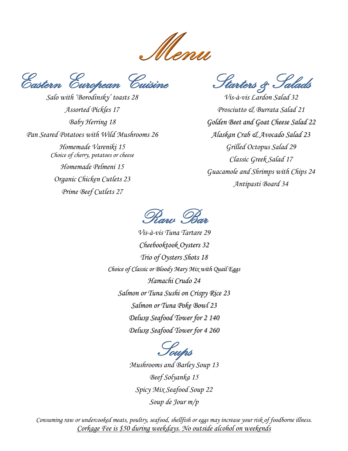Menu

Eastern European Cuisine

*Salo with 'Borodinsky' toasts 28 Assorted Pickles 17 Baby Herring 18 Pan Seared Potatoes with Wild Mushrooms 26 Homemade Vareniki 15 Choice of cherry, potatoes or cheese Homemade Pelmeni 15 Organic Chicken Cutlets 23 Prime Beef Cutlets 27*

Starters & Salads

*Vis-à-vis Lardon Salad 32 Prosciutto & Burrata Salad 21 Golden Beet and Goat Cheese Salad 22 Alaskan Crab & Avocado Salad 23 Grilled Octopus Salad 29 Classic Greek Salad 17 Guacamole and Shrimps with Chips 24 Antipasti Board 34* 



*Vis-à-vis Tuna Tartare 29 Cheebooktook Oysters 32 Trio of Oysters Shots 18 Choice of Classic or Bloody Mary Mix with Quail Eggs Hamachi Crudo 24 Salmon or Tuna Sushi on Crispy Rice 23 Salmon or Tuna Poke Bowl 23 Deluxe Seafood Tower for 2 140 Deluxe Seafood Tower for 4 260*

> Soups *Mushrooms and Barley Soup 13 Beef Solyanka 15 Spicy Mix Seafood Soup 22 Soup de Jour m/p*

*Consuming raw or undercooked meats, poultry, seafood, shellfish or eggs may increase your risk of foodborne illness. Corkage Fee is \$50 during weekdays. No outside alcohol on weekends*